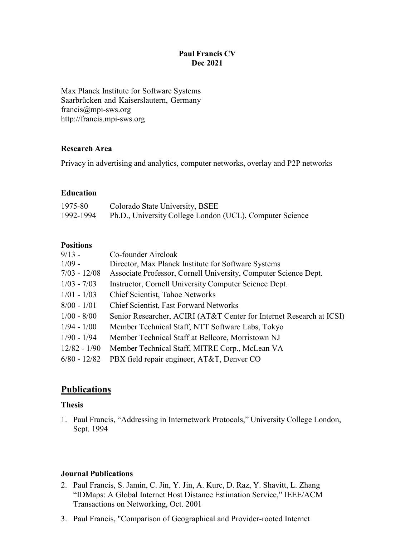### **Paul Francis CV Dec 2021**

Max Planck Institute for Software Systems Saarbrücken and Kaiserslautern, Germany [francis@mpi-sws.org](mailto:francis@mpi-sws.org) [http://francis.mpi-sws.org](http://francis.mpi-sws.org/)

#### **Research Area**

Privacy in advertising and analytics, computer networks, overlay and P2P networks

#### **Education**

| 1975-80   | Colorado State University, BSEE                          |
|-----------|----------------------------------------------------------|
| 1992-1994 | Ph.D., University College London (UCL), Computer Science |

### **Positions**

| $9/13 -$       | Co-founder Aircloak                                                  |
|----------------|----------------------------------------------------------------------|
| $1/09 -$       | Director, Max Planck Institute for Software Systems                  |
| $7/03 - 12/08$ | Associate Professor, Cornell University, Computer Science Dept.      |
| $1/03 - 7/03$  | Instructor, Cornell University Computer Science Dept.                |
| $1/01 - 1/03$  | Chief Scientist, Tahoe Networks                                      |
| $8/00 - 1/01$  | <b>Chief Scientist, Fast Forward Networks</b>                        |
| $1/00 - 8/00$  | Senior Researcher, ACIRI (AT&T Center for Internet Research at ICSI) |
| $1/94 - 1/00$  | Member Technical Staff, NTT Software Labs, Tokyo                     |
| $1/90 - 1/94$  | Member Technical Staff at Bellcore, Morristown NJ                    |
| $12/82 - 1/90$ | Member Technical Staff, MITRE Corp., McLean VA                       |
| $6/80 - 12/82$ | PBX field repair engineer, AT&T, Denver CO                           |
|                |                                                                      |

## **Publications**

### **Thesis**

1. Paul Francis, "Addressing in Internetwork Protocols," University College London, Sept. 1994

### **Journal Publications**

- 2. Paul Francis, S. Jamin, C. Jin, Y. Jin, A. Kurc, D. Raz, Y. Shavitt, L. Zhang "IDMaps: A Global Internet Host Distance Estimation Service," IEEE/ACM Transactions on Networking, Oct. 2001
- 3. Paul Francis, "Comparison of Geographical and Provider-rooted Internet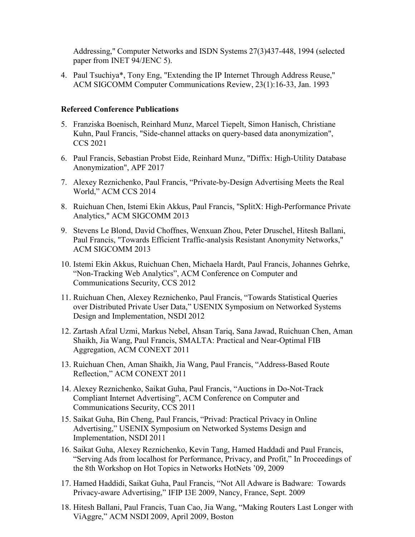Addressing," Computer Networks and ISDN Systems 27(3)437-448, 1994 (selected paper from INET 94/JENC 5).

4. Paul Tsuchiya\*, Tony Eng, "Extending the IP Internet Through Address Reuse," ACM SIGCOMM Computer Communications Review, 23(1):16-33, Jan. 1993

#### **Refereed Conference Publications**

- 5. Franziska Boenisch, Reinhard Munz, Marcel Tiepelt, Simon Hanisch, Christiane Kuhn, Paul Francis, "Side-channel attacks on query-based data anonymization", CCS 2021
- 6. Paul Francis, Sebastian Probst Eide, Reinhard Munz, "Diffix: High-Utility Database Anonymization", APF 2017
- 7. Alexey Reznichenko, Paul Francis, "Private-by-Design Advertising Meets the Real World," ACM CCS 2014
- 8. Ruichuan Chen, Istemi Ekin Akkus, Paul Francis, "SplitX: High-Performance Private Analytics," ACM SIGCOMM 2013
- 9. Stevens Le Blond, David Choffnes, Wenxuan Zhou, Peter Druschel, Hitesh Ballani, Paul Francis, "Towards Efficient Traffic-analysis Resistant Anonymity Networks," ACM SIGCOMM 2013
- 10. Istemi Ekin Akkus, Ruichuan Chen, Michaela Hardt, Paul Francis, Johannes Gehrke, "Non-Tracking Web Analytics", ACM Conference on Computer and Communications Security, CCS 2012
- 11. Ruichuan Chen, Alexey Reznichenko, Paul Francis, "Towards Statistical Queries over Distributed Private User Data," USENIX Symposium on Networked Systems Design and Implementation, NSDI 2012
- 12. Zartash Afzal Uzmi, Markus Nebel, Ahsan Tariq, Sana Jawad, Ruichuan Chen, Aman Shaikh, Jia Wang, Paul Francis, SMALTA: Practical and Near-Optimal FIB Aggregation, ACM CONEXT 2011
- 13. Ruichuan Chen, Aman Shaikh, Jia Wang, Paul Francis, "Address-Based Route Reflection," ACM CONEXT 2011
- 14. Alexey Reznichenko, Saikat Guha, Paul Francis, "Auctions in Do-Not-Track Compliant Internet Advertising", ACM Conference on Computer and Communications Security, CCS 2011
- 15. Saikat Guha, Bin Cheng, Paul Francis, "Privad: Practical Privacy in Online Advertising," USENIX Symposium on Networked Systems Design and Implementation, NSDI 2011
- 16. Saikat Guha, Alexey Reznichenko, Kevin Tang, Hamed Haddadi and Paul Francis, "Serving Ads from localhost for Performance, Privacy, and Profit," In Proceedings of the 8th Workshop on Hot Topics in Networks HotNets '09, 2009
- 17. Hamed Haddidi, Saikat Guha, Paul Francis, "Not All Adware is Badware: Towards Privacy-aware Advertising," IFIP I3E 2009, Nancy, France, Sept. 2009
- 18. Hitesh Ballani, Paul Francis, Tuan Cao, Jia Wang, "Making Routers Last Longer with ViAggre," ACM NSDI 2009, April 2009, Boston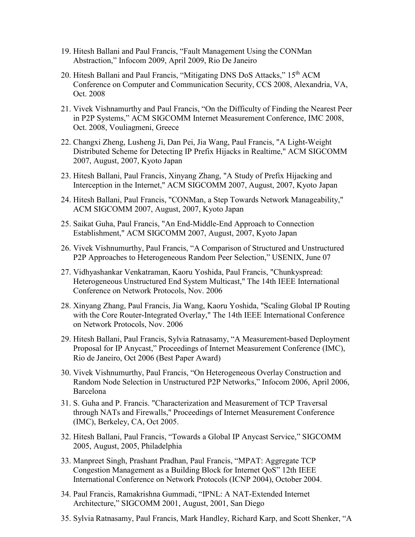- 19. Hitesh Ballani and Paul Francis, "Fault Management Using the CONMan Abstraction," Infocom 2009, April 2009, Rio De Janeiro
- 20. Hitesh Ballani and Paul Francis, "Mitigating DNS DoS Attacks," 15<sup>th</sup> ACM Conference on Computer and Communication Security, CCS 2008, Alexandria, VA, Oct. 2008
- 21. Vivek Vishnamurthy and Paul Francis, "On the Difficulty of Finding the Nearest Peer in P2P Systems," ACM SIGCOMM Internet Measurement Conference, IMC 2008, Oct. 2008, Vouliagmeni, Greece
- 22. Changxi Zheng, Lusheng Ji, Dan Pei, Jia Wang, Paul Francis, "A Light-Weight Distributed Scheme for Detecting IP Prefix Hijacks in Realtime," ACM SIGCOMM 2007, August, 2007, Kyoto Japan
- 23. Hitesh Ballani, Paul Francis, Xinyang Zhang, "A Study of Prefix Hijacking and Interception in the Internet," ACM SIGCOMM 2007, August, 2007, Kyoto Japan
- 24. Hitesh Ballani, Paul Francis, "CONMan, a Step Towards Network Manageability," ACM SIGCOMM 2007, August, 2007, Kyoto Japan
- 25. Saikat Guha, Paul Francis, "An End-Middle-End Approach to Connection Establishment," ACM SIGCOMM 2007, August, 2007, Kyoto Japan
- 26. Vivek Vishnumurthy, Paul Francis, "A Comparison of Structured and Unstructured P2P Approaches to Heterogeneous Random Peer Selection," USENIX, June 07
- 27. Vidhyashankar Venkatraman, Kaoru Yoshida, Paul Francis, "Chunkyspread: Heterogeneous Unstructured End System Multicast," The 14th IEEE International Conference on Network Protocols, Nov. 2006
- 28. Xinyang Zhang, Paul Francis, Jia Wang, Kaoru Yoshida, "Scaling Global IP Routing with the Core Router-Integrated Overlay," The 14th IEEE International Conference on Network Protocols, Nov. 2006
- 29. Hitesh Ballani, Paul Francis, Sylvia Ratnasamy, "A Measurement-based Deployment Proposal for IP Anycast," Proceedings of Internet Measurement Conference (IMC), Rio de Janeiro, Oct 2006 (Best Paper Award)
- 30. Vivek Vishnumurthy, Paul Francis, "On Heterogeneous Overlay Construction and Random Node Selection in Unstructured P2P Networks," Infocom 2006, April 2006, Barcelona
- 31. S. Guha and P. Francis. "Characterization and Measurement of TCP Traversal through NATs and Firewalls," Proceedings of Internet Measurement Conference (IMC), Berkeley, CA, Oct 2005.
- 32. Hitesh Ballani, Paul Francis, "Towards a Global IP Anycast Service," SIGCOMM 2005, August, 2005, Philadelphia
- 33. Manpreet Singh, Prashant Pradhan, Paul Francis, "MPAT: Aggregate TCP Congestion Management as a Building Block for Internet QoS" 12th IEEE International Conference on Network Protocols (ICNP 2004), October 2004.
- 34. Paul Francis, Ramakrishna Gummadi, "IPNL: A NAT-Extended Internet Architecture," SIGCOMM 2001, August, 2001, San Diego
- 35. Sylvia Ratnasamy, Paul Francis, Mark Handley, Richard Karp, and Scott Shenker, "A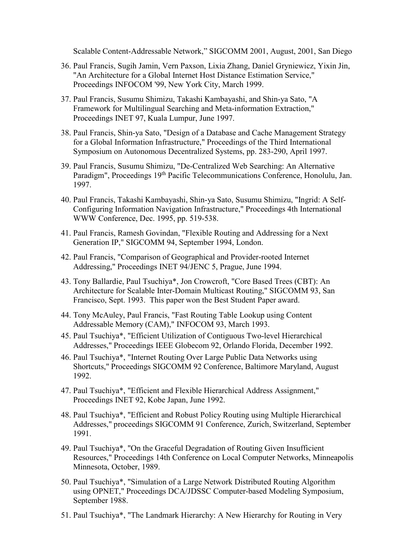Scalable Content-Addressable Network," SIGCOMM 2001, August, 2001, San Diego

- 36. Paul Francis, Sugih Jamin, Vern Paxson, Lixia Zhang, Daniel Gryniewicz, Yixin Jin, "An Architecture for a Global Internet Host Distance Estimation Service," Proceedings INFOCOM '99, New York City, March 1999.
- 37. Paul Francis, Susumu Shimizu, Takashi Kambayashi, and Shin-ya Sato, "A Framework for Multilingual Searching and Meta-information Extraction," Proceedings INET 97, Kuala Lumpur, June 1997.
- 38. Paul Francis, Shin-ya Sato, "Design of a Database and Cache Management Strategy for a Global Information Infrastructure," Proceedings of the Third International Symposium on Autonomous Decentralized Systems, pp. 283-290, April 1997.
- 39. Paul Francis, Susumu Shimizu, "De-Centralized Web Searching: An Alternative Paradigm", Proceedings 19<sup>th</sup> Pacific Telecommunications Conference, Honolulu, Jan. 1997.
- 40. Paul Francis, Takashi Kambayashi, Shin-ya Sato, Susumu Shimizu, "Ingrid: A Self-Configuring Information Navigation Infrastructure," Proceedings 4th International WWW Conference, Dec. 1995, pp. 519-538.
- 41. Paul Francis, Ramesh Govindan, "Flexible Routing and Addressing for a Next Generation IP," SIGCOMM 94, September 1994, London.
- 42. Paul Francis, "Comparison of Geographical and Provider-rooted Internet Addressing," Proceedings INET 94/JENC 5, Prague, June 1994.
- 43. Tony Ballardie, Paul Tsuchiya\*, Jon Crowcroft, "Core Based Trees (CBT): An Architecture for Scalable Inter-Domain Multicast Routing," SIGCOMM 93, San Francisco, Sept. 1993. This paper won the Best Student Paper award.
- 44. Tony McAuley, Paul Francis, "Fast Routing Table Lookup using Content Addressable Memory (CAM)," INFOCOM 93, March 1993.
- 45. Paul Tsuchiya\*, "Efficient Utilization of Contiguous Two-level Hierarchical Addresses," Proceedings IEEE Globecom 92, Orlando Florida, December 1992.
- 46. Paul Tsuchiya\*, "Internet Routing Over Large Public Data Networks using Shortcuts," Proceedings SIGCOMM 92 Conference, Baltimore Maryland, August 1992.
- 47. Paul Tsuchiya\*, "Efficient and Flexible Hierarchical Address Assignment," Proceedings INET 92, Kobe Japan, June 1992.
- 48. Paul Tsuchiya\*, "Efficient and Robust Policy Routing using Multiple Hierarchical Addresses," proceedings SIGCOMM 91 Conference, Zurich, Switzerland, September 1991.
- 49. Paul Tsuchiya\*, "On the Graceful Degradation of Routing Given Insufficient Resources," Proceedings 14th Conference on Local Computer Networks, Minneapolis Minnesota, October, 1989.
- 50. Paul Tsuchiya\*, "Simulation of a Large Network Distributed Routing Algorithm using OPNET," Proceedings DCA/JDSSC Computer-based Modeling Symposium, September 1988.
- 51. Paul Tsuchiya\*, "The Landmark Hierarchy: A New Hierarchy for Routing in Very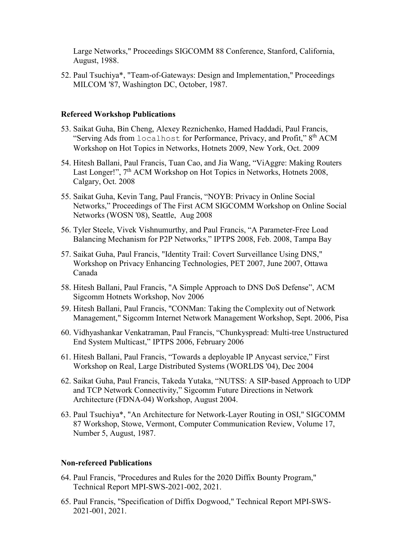Large Networks," Proceedings SIGCOMM 88 Conference, Stanford, California, August, 1988.

52. Paul Tsuchiya\*, "Team-of-Gateways: Design and Implementation," Proceedings MILCOM '87, Washington DC, October, 1987.

#### **Refereed Workshop Publications**

- 53. Saikat Guha, Bin Cheng, Alexey Reznichenko, Hamed Haddadi, Paul Francis, "Serving Ads from localhost for Performance, Privacy, and Profit,"  $8<sup>th</sup>$  ACM Workshop on Hot Topics in Networks, Hotnets 2009, New York, Oct. 2009
- 54. Hitesh Ballani, Paul Francis, Tuan Cao, and Jia Wang, "ViAggre: Making Routers Last Longer!", 7<sup>th</sup> ACM Workshop on Hot Topics in Networks, Hotnets 2008, Calgary, Oct. 2008
- 55. Saikat Guha, Kevin Tang, Paul Francis, "NOYB: Privacy in Online Social Networks," Proceedings of The First ACM SIGCOMM Workshop on Online Social Networks (WOSN '08), Seattle, Aug 2008
- 56. Tyler Steele, Vivek Vishnumurthy, and Paul Francis, "A Parameter-Free Load Balancing Mechanism for P2P Networks," IPTPS 2008, Feb. 2008, Tampa Bay
- 57. Saikat Guha, Paul Francis, "Identity Trail: Covert Surveillance Using DNS," Workshop on Privacy Enhancing Technologies, PET 2007, June 2007, Ottawa Canada
- 58. Hitesh Ballani, Paul Francis, "A Simple Approach to DNS DoS Defense", ACM Sigcomm Hotnets Workshop, Nov 2006
- 59. Hitesh Ballani, Paul Francis, "CONMan: Taking the Complexity out of Network Management," Sigcomm Internet Network Management Workshop, Sept. 2006, Pisa
- 60. Vidhyashankar Venkatraman, Paul Francis, "Chunkyspread: Multi-tree Unstructured End System Multicast," IPTPS 2006, February 2006
- 61. Hitesh Ballani, Paul Francis, "Towards a deployable IP Anycast service," First Workshop on Real, Large Distributed Systems (WORLDS '04), Dec 2004
- 62. Saikat Guha, Paul Francis, Takeda Yutaka, "NUTSS: A SIP-based Approach to UDP and TCP Network Connectivity," Sigcomm Future Directions in Network Architecture (FDNA-04) Workshop, August 2004.
- 63. Paul Tsuchiya\*, "An Architecture for Network-Layer Routing in OSI," SIGCOMM 87 Workshop, Stowe, Vermont, Computer Communication Review, Volume 17, Number 5, August, 1987.

#### **Non-refereed Publications**

- 64. Paul Francis, "Procedures and Rules for the 2020 Diffix Bounty Program," Technical Report MPI-SWS-2021-002, 2021.
- 65. Paul Francis, "Specification of Diffix Dogwood," Technical Report MPI-SWS-2021-001, 2021.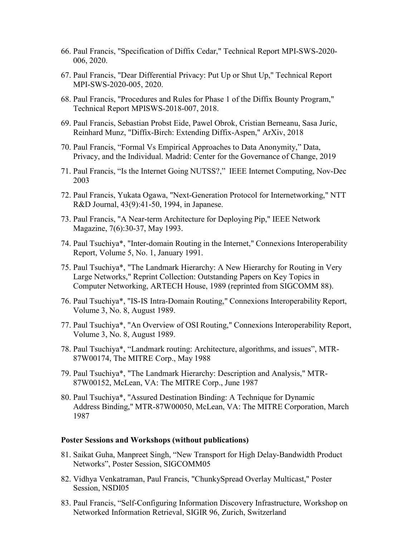- 66. Paul Francis, "Specification of Diffix Cedar," Technical Report MPI-SWS-2020- 006, 2020.
- 67. Paul Francis, "Dear Differential Privacy: Put Up or Shut Up," Technical Report MPI-SWS-2020-005, 2020.
- 68. Paul Francis, "Procedures and Rules for Phase 1 of the Diffix Bounty Program," Technical Report MPISWS-2018-007, 2018.
- 69. Paul Francis, Sebastian Probst Eide, Pawel Obrok, Cristian Berneanu, Sasa Juric, Reinhard Munz, "Diffix-Birch: Extending Diffix-Aspen," ArXiv, 2018
- 70. Paul Francis, "Formal Vs Empirical Approaches to Data Anonymity," Data, Privacy, and the Individual. Madrid: Center for the Governance of Change, 2019
- 71. Paul Francis, "Is the Internet Going NUTSS?," IEEE Internet Computing, Nov-Dec 2003
- 72. Paul Francis, Yukata Ogawa, "Next-Generation Protocol for Internetworking," NTT R&D Journal, 43(9):41-50, 1994, in Japanese.
- 73. Paul Francis, "A Near-term Architecture for Deploying Pip," IEEE Network Magazine, 7(6):30-37, May 1993.
- 74. Paul Tsuchiya\*, "Inter-domain Routing in the Internet," Connexions Interoperability Report, Volume 5, No. 1, January 1991.
- 75. Paul Tsuchiya\*, "The Landmark Hierarchy: A New Hierarchy for Routing in Very Large Networks," Reprint Collection: Outstanding Papers on Key Topics in Computer Networking, ARTECH House, 1989 (reprinted from SIGCOMM 88).
- 76. Paul Tsuchiya\*, "IS-IS Intra-Domain Routing," Connexions Interoperability Report, Volume 3, No. 8, August 1989.
- 77. Paul Tsuchiya\*, "An Overview of OSI Routing," Connexions Interoperability Report, Volume 3, No. 8, August 1989.
- 78. Paul Tsuchiya\*, "Landmark routing: Architecture, algorithms, and issues", MTR-87W00174, The MITRE Corp., May 1988
- 79. Paul Tsuchiya\*, "The Landmark Hierarchy: Description and Analysis," MTR-87W00152, McLean, VA: The MITRE Corp., June 1987
- 80. Paul Tsuchiya\*, "Assured Destination Binding: A Technique for Dynamic Address Binding," MTR-87W00050, McLean, VA: The MITRE Corporation, March 1987

#### **Poster Sessions and Workshops (without publications)**

- 81. Saikat Guha, Manpreet Singh, "New Transport for High Delay-Bandwidth Product Networks", Poster Session, SIGCOMM05
- 82. Vidhya Venkatraman, Paul Francis, "ChunkySpread Overlay Multicast," Poster Session, NSDI05
- 83. Paul Francis, "Self-Configuring Information Discovery Infrastructure, Workshop on Networked Information Retrieval, SIGIR 96, Zurich, Switzerland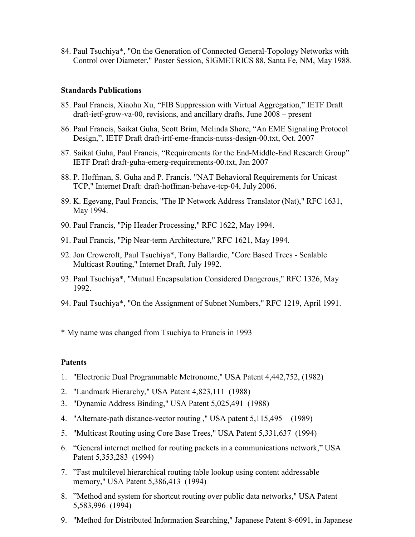84. Paul Tsuchiya\*, "On the Generation of Connected General-Topology Networks with Control over Diameter," Poster Session, SIGMETRICS 88, Santa Fe, NM, May 1988.

#### **Standards Publications**

- 85. Paul Francis, Xiaohu Xu, "FIB Suppression with Virtual Aggregation," IETF Draft draft-ietf-grow-va-00, revisions, and ancillary drafts, June 2008 – present
- 86. Paul Francis, Saikat Guha, Scott Brim, Melinda Shore, "An EME Signaling Protocol Design,", IETF Draft draft-irtf-eme-francis-nutss-design-00.txt, Oct. 2007
- 87. Saikat Guha, Paul Francis, "Requirements for the End-Middle-End Research Group" IETF Draft draft-guha-emerg-requirements-00.txt, Jan 2007
- 88. P. Hoffman, S. Guha and P. Francis. "NAT Behavioral Requirements for Unicast TCP," Internet Draft: draft-hoffman-behave-tcp-04, July 2006.
- 89. K. Egevang, Paul Francis, "The IP Network Address Translator (Nat)," RFC 1631, May 1994.
- 90. Paul Francis, "Pip Header Processing," RFC 1622, May 1994.
- 91. Paul Francis, "Pip Near-term Architecture," RFC 1621, May 1994.
- 92. Jon Crowcroft, Paul Tsuchiya\*, Tony Ballardie, "Core Based Trees Scalable Multicast Routing," Internet Draft, July 1992.
- 93. Paul Tsuchiya\*, "Mutual Encapsulation Considered Dangerous," RFC 1326, May 1992.
- 94. Paul Tsuchiya\*, "On the Assignment of Subnet Numbers," RFC 1219, April 1991.

\* My name was changed from Tsuchiya to Francis in 1993

### **Patents**

- 1. "Electronic Dual Programmable Metronome," USA Patent 4,442,752, (1982)
- 2. "Landmark Hierarchy," USA Patent 4,823,111 (1988)
- 3. "Dynamic Address Binding," USA Patent 5,025,491 (1988)
- 4. "Alternate-path distance-vector routing ," USA patent 5,115,495 (1989)
- 5. "Multicast Routing using Core Base Trees," USA Patent 5,331,637 (1994)
- 6. "General internet method for routing packets in a communications network," USA Patent 5,353,283 (1994)
- 7. "Fast multilevel hierarchical routing table lookup using content addressable memory," USA Patent 5,386,413 (1994)
- 8. "Method and system for shortcut routing over public data networks," USA Patent 5,583,996 (1994)
- 9. "Method for Distributed Information Searching," Japanese Patent 8-6091, in Japanese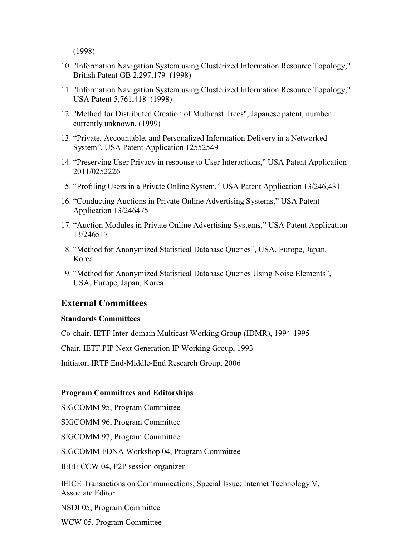(1998)

- 10. "Information Navigation System using Clusterized Information Resource Topology," British Patent GB 2,297,179 (1998)
- 11. "Information Navigation System using Clusterized Information Resource Topology," USA Patent 5,761,418 (1998)
- 12. "Method for Distributed Creation of Multicast Trees", Japanese patent, number currently unknown. (1999)
- 13. "Private, Accountable, and Personalized Information Delivery in a Networked System", USA Patent Application 12552549
- 14. "Preserving User Privacy in response to User Interactions," USA Patent Application 2011/0252226
- 15. "Profiling Users in a Private Online System," USA Patent Application 13/246,431
- 16. "Conducting Auctions in Private Online Advertising Systems," USA Patent Application 13/246475
- 17. "Auction Modules in Private Online Advertising Systems," USA Patent Application 13/246517
- 18. "Method for Anonymized Statistical Database Queries", USA, Europe, Japan, Korea
- 19. "Method for Anonymized Statistical Database Queries Using Noise Elements", USA, Europe, Japan, Korea

## **External Committees**

#### **Standards Committees**

Co-chair, IETF Inter-domain Multicast Working Group (IDMR), 1994-1995

Chair, IETF PIP Next Generation IP Working Group, 1993

Initiator, IRTF End-Middle-End Research Group, 2006

#### **Program Committees and Editorships**

SIGCOMM 95, Program Committee

SIGCOMM 96, Program Committee

SIGCOMM 97, Program Committee

SIGCOMM FDNA Workshop 04, Program Committee

IEEE CCW 04, P2P session organizer

IEICE Transactions on Communications, Special Issue: Internet Technology V, Associate Editor

NSDI 05, Program Committee

WCW 05, Program Committee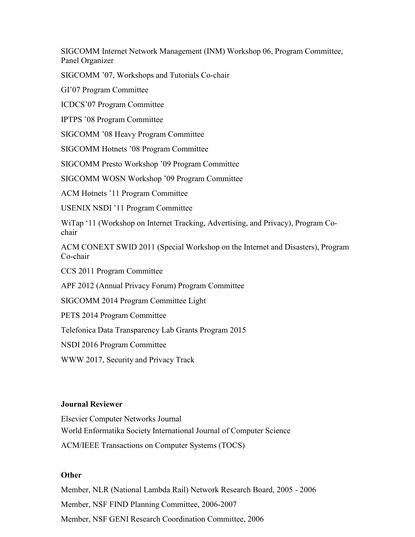SIGCOMM Internet Network Management (INM) Workshop 06, Program Committee, Panel Organizer

SIGCOMM '07, Workshops and Tutorials Co-chair

GI'07 Program Committee

ICDCS'07 Program Committee

IPTPS '08 Program Committee

SIGCOMM '08 Heavy Program Committee

SIGCOMM Hotnets '08 Program Committee

SIGCOMM Presto Workshop '09 Program Committee

SIGCOMM WOSN Workshop '09 Program Committee

ACM Hotnets '11 Program Committee

USENIX NSDI '11 Program Committee

WiTap '11 (Workshop on Internet Tracking, Advertising, and Privacy), Program Cochair

ACM CONEXT SWID 2011 (Special Workshop on the Internet and Disasters), Program Co-chair

CCS 2011 Program Committee

APF 2012 (Annual Privacy Forum) Program Committee

SIGCOMM 2014 Program Committee Light

PETS 2014 Program Committee

Telefonica Data Transparency Lab Grants Program 2015

NSDI 2016 Program Committee

WWW 2017, Security and Privacy Track

### **Journal Reviewer**

Elsevier Computer Networks Journal World Enformatika Society International Journal of Computer Science ACM/IEEE Transactions on Computer Systems (TOCS)

### **Other**

Member, NLR (National Lambda Rail) Network Research Board, 2005 - 2006 Member, NSF FIND Planning Committee, 2006-2007 Member, NSF GENI Research Coordination Committee, 2006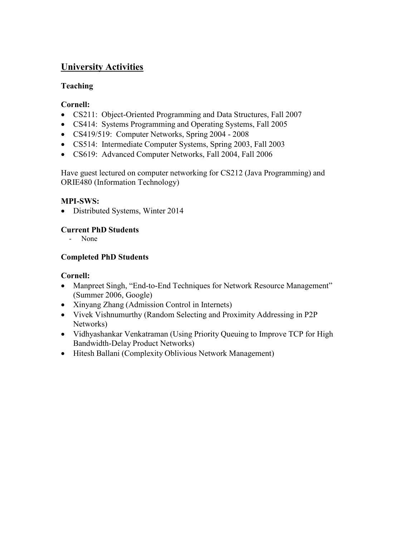# **University Activities**

## **Teaching**

## **Cornell:**

- CS211: Object-Oriented Programming and Data Structures, Fall 2007
- CS414: Systems Programming and Operating Systems, Fall 2005
- CS419/519: Computer Networks, Spring 2004 2008
- CS514: Intermediate Computer Systems, Spring 2003, Fall 2003
- CS619: Advanced Computer Networks, Fall 2004, Fall 2006

Have guest lectured on computer networking for CS212 (Java Programming) and ORIE480 (Information Technology)

## **MPI-SWS:**

• Distributed Systems, Winter 2014

## **Current PhD Students**

- None

## **Completed PhD Students**

## **Cornell:**

- Manpreet Singh, "End-to-End Techniques for Network Resource Management" (Summer 2006, Google)
- Xinyang Zhang (Admission Control in Internets)
- Vivek Vishnumurthy (Random Selecting and Proximity Addressing in P2P Networks)
- Vidhyashankar Venkatraman (Using Priority Queuing to Improve TCP for High Bandwidth-Delay Product Networks)
- Hitesh Ballani (Complexity Oblivious Network Management)